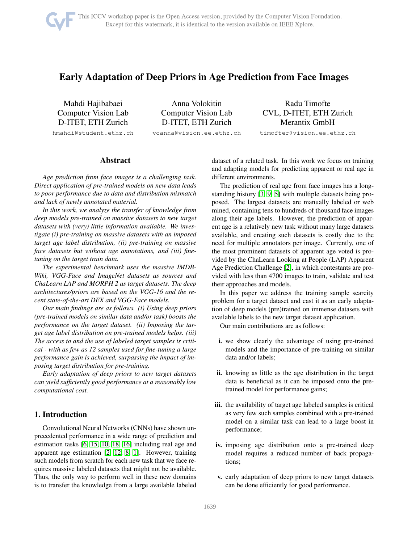# Early Adaptation of Deep Priors in Age Prediction from Face Images

Mahdi Hajibabaei Computer Vision Lab D-ITET, ETH Zurich hmahdi@student.ethz.ch

Anna Volokitin Computer Vision Lab D-ITET, ETH Zurich

voanna@vision.ee.ethz.ch

Radu Timofte CVL, D-ITET, ETH Zurich Merantix GmbH

timofter@vision.ee.ethz.ch

# Abstract

*Age prediction from face images is a challenging task. Direct application of pre-trained models on new data leads to poor performance due to data and distribution mismatch and lack of newly annotated material.*

*In this work, we analyze the transfer of knowledge from deep models pre-trained on massive datasets to new target datasets with (very) little information available. We investigate (i) pre-training on massive datasets with an imposed target age label distribution, (ii) pre-training on massive face datasets but without age annotations, and (iii) finetuning on the target train data.*

*The experimental benchmark uses the massive IMDB-Wiki, VGG-Face and ImageNet datasets as sources and ChaLearn LAP and MORPH 2 as target datasets. The deep architectures/priors are based on the VGG-16 and the recent state-of-the-art DEX and VGG-Face models.*

*Our main findings are as follows. (i) Using deep priors (pre-trained models on similar data and/or task) boosts the performance on the target dataset. (ii) Imposing the target age label distribution on pre-trained models helps. (iii) The access to and the use of labeled target samples is critical - with as few as 12 samples used for fine-tuning a large performance gain is achieved, surpassing the impact of imposing target distribution for pre-training.*

*Early adaptation of deep priors to new target datasets can yield sufficiently good performance at a reasonably low computational cost.*

# 1. Introduction

Convolutional Neural Networks (CNNs) have shown unprecedented performance in a wide range of prediction and estimation tasks [\[6,](#page-8-0) [15,](#page-8-1) [10,](#page-8-2) [18,](#page-8-3) [16\]](#page-8-4) including real age and apparent age estimation [\[2,](#page-8-5) [12,](#page-8-6) [8,](#page-8-7) [1\]](#page-8-8). However, training such models from scratch for each new task that we face requires massive labeled datasets that might not be available. Thus, the only way to perform well in these new domains is to transfer the knowledge from a large available labeled dataset of a related task. In this work we focus on training and adapting models for predicting apparent or real age in different environments.

The prediction of real age from face images has a longstanding history [\[3,](#page-8-9) [9,](#page-8-10) [5\]](#page-8-11) with multiple datasets being proposed. The largest datasets are manually labeled or web mined, containing tens to hundreds of thousand face images along their age labels. However, the prediction of apparent age is a relatively new task without many large datasets available, and creating such datasets is costly due to the need for multiple annotators per image. Currently, one of the most prominent datasets of apparent age voted is provided by the ChaLearn Looking at People (LAP) Apparent Age Prediction Challenge [\[2\]](#page-8-5), in which contestants are provided with less than 4700 images to train, validate and test their approaches and models.

In this paper we address the training sample scarcity problem for a target dataset and cast it as an early adaptation of deep models (pre)trained on immense datasets with available labels to the new target dataset application.

Our main contributions are as follows:

- i. we show clearly the advantage of using pre-trained models and the importance of pre-training on similar data and/or labels;
- ii. knowing as little as the age distribution in the target data is beneficial as it can be imposed onto the pretrained model for performance gains;
- iii. the availability of target age labeled samples is critical as very few such samples combined with a pre-trained model on a similar task can lead to a large boost in performance;
- iv. imposing age distribution onto a pre-trained deep model requires a reduced number of back propagations;
- v. early adaptation of deep priors to new target datasets can be done efficiently for good performance.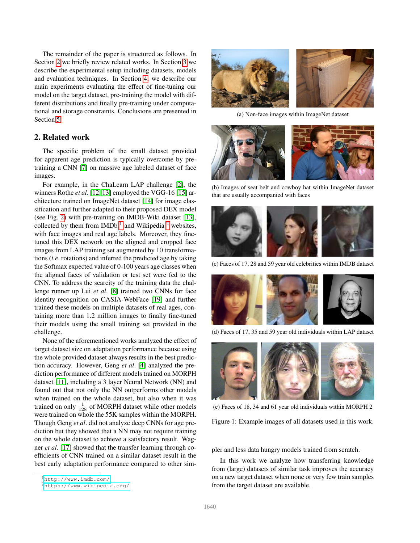The remainder of the paper is structured as follows. In Section [2](#page-1-0) we briefly review related works. In Section [3](#page-2-0) we describe the experimental setup including datasets, models and evaluation techniques. In Section [4,](#page-3-0) we describe our main experiments evaluating the effect of fine-tuning our model on the target dataset, pre-training the model with different distributions and finally pre-training under computational and storage constraints. Conclusions are presented in Section [5.](#page-7-0)

# <span id="page-1-0"></span>2. Related work

The specific problem of the small dataset provided for apparent age prediction is typically overcome by pretraining a CNN [\[7\]](#page-8-12) on massive age labeled dataset of face images.

For example, in the ChaLearn LAP challenge [\[2\]](#page-8-5), the winners Rothe *et al*. [\[12,](#page-8-6) [13\]](#page-8-13) employed the VGG-16 [\[15\]](#page-8-1) architecture trained on ImageNet dataset [\[14\]](#page-8-14) for image classification and further adapted to their proposed DEX model (see Fig. [2\)](#page-2-1) with pre-training on IMDB-Wiki dataset [\[13\]](#page-8-13), collected by them from IMDb<sup>[1](#page-1-1)</sup> and Wikipedia<sup>[2](#page-1-2)</sup> websites, with face images and real age labels. Moreover, they finetuned this DEX network on the aligned and cropped face images from LAP training set augmented by 10 transformations (*i.e*. rotations) and inferred the predicted age by taking the Softmax expected value of 0-100 years age classes when the aligned faces of validation or test set were fed to the CNN. To address the scarcity of the training data the challenge runner up Lui *et al*. [\[8\]](#page-8-7) trained two CNNs for face identity recognition on CASIA-WebFace [\[19\]](#page-8-15) and further trained these models on multiple datasets of real ages, containing more than 1.2 million images to finally fine-tuned their models using the small training set provided in the challenge.

None of the aforementioned works analyzed the effect of target dataset size on adaptation performance because using the whole provided dataset always results in the best prediction accuracy. However, Geng *et al*. [\[4\]](#page-8-16) analyzed the prediction performance of different models trained on MORPH dataset [\[11\]](#page-8-17), including a 3 layer Neural Network (NN) and found out that not only the NN outperforms other models when trained on the whole dataset, but also when it was trained on only  $\frac{1}{128}$  of MORPH dataset while other models were trained on whole the 55K samples within the MORPH. Though Geng *et al*. did not analyze deep CNNs for age prediction but they showed that a NN may not require training on the whole dataset to achieve a satisfactory result. Wagner *et al*. [\[17\]](#page-8-18) showed that the transfer learning through coefficients of CNN trained on a similar dataset result in the best early adaptation performance compared to other sim-

<span id="page-1-3"></span>

(a) Non-face images within ImageNet dataset



(b) Images of seat belt and cowboy hat within ImageNet dataset that are usually accompanied with faces



(c) Faces of 17, 28 and 59 year old celebrities within IMDB dataset



(d) Faces of 17, 35 and 59 year old individuals within LAP dataset



(e) Faces of 18, 34 and 61 year old individuals within MORPH 2

Figure 1: Example images of all datasets used in this work.

pler and less data hungry models trained from scratch.

In this work we analyze how transferring knowledge from (large) datasets of similar task improves the accuracy on a new target dataset when none or very few train samples from the target dataset are available.

<span id="page-1-1"></span><sup>1</sup><http://www.imdb.com/>

<span id="page-1-2"></span><sup>2</sup><https://www.wikipedia.org/>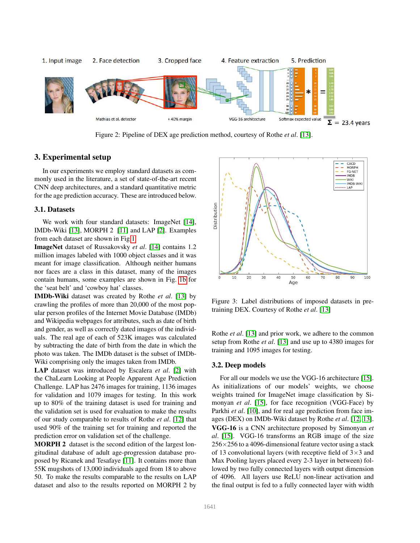<span id="page-2-1"></span>

Figure 2: Pipeline of DEX age prediction method, courtesy of Rothe *et al*. [\[13\]](#page-8-13).

# <span id="page-2-0"></span>3. Experimental setup

In our experiments we employ standard datasets as commonly used in the literature, a set of state-of-the-art recent CNN deep architectures, and a standard quantitative metric for the age prediction accuracy. These are introduced below.

#### 3.1. Datasets

We work with four standard datasets: ImageNet [\[14\]](#page-8-14), IMDb-Wiki [\[13\]](#page-8-13), MORPH 2 [\[11\]](#page-8-17) and LAP [\[2\]](#page-8-5). Examples from each dataset are shown in Fig [1.](#page-1-3)

ImageNet dataset of Russakovsky *et al*. [\[14\]](#page-8-14) contains 1.2 million images labeled with 1000 object classes and it was meant for image classification. Although neither humans nor faces are a class in this dataset, many of the images contain humans, some examples are shown in Fig. [1b](#page-1-3) for the 'seat belt' and 'cowboy hat' classes.

IMDb-Wiki dataset was created by Rothe *et al*. [\[13\]](#page-8-13) by crawling the profiles of more than 20,000 of the most popular person profiles of the Internet Movie Database (IMDb) and Wikipedia webpages for attributes, such as date of birth and gender, as well as correctly dated images of the individuals. The real age of each of 523K images was calculated by subtracting the date of birth from the date in which the photo was taken. The IMDb dataset is the subset of IMDb-Wiki comprising only the images taken from IMDb.

LAP dataset was introduced by Escalera *et al*. [\[2\]](#page-8-5) with the ChaLearn Looking at People Apparent Age Prediction Challenge. LAP has 2476 images for training, 1136 images for validation and 1079 images for testing. In this work up to 80% of the training dataset is used for training and the validation set is used for evaluation to make the results of our study comparable to results of Rothe *et al*. [\[12\]](#page-8-6) that used 90% of the training set for training and reported the prediction error on validation set of the challenge.

MORPH 2 dataset is the second edition of the largest longitudinal database of adult age-progression database proposed by Ricanek and Tesafaye [\[11\]](#page-8-17). It contains more than 55K mugshots of 13,000 individuals aged from 18 to above 50. To make the results comparable to the results on LAP dataset and also to the results reported on MORPH 2 by

<span id="page-2-2"></span>

Figure 3: Label distributions of imposed datasets in pretraining DEX. Courtesy of Rothe *et al*. [\[13\]](#page-8-13)

Rothe *et al*. [\[13\]](#page-8-13) and prior work, we adhere to the common setup from Rothe *et al*. [\[13\]](#page-8-13) and use up to 4380 images for training and 1095 images for testing.

#### 3.2. Deep models

For all our models we use the VGG-16 architecture [\[15\]](#page-8-1). As initializations of our models' weights, we choose weights trained for ImageNet image classification by Simonyan *et al*. [\[15\]](#page-8-1), for face recognition (VGG-Face) by Parkhi *et al.* [\[10\]](#page-8-2), and for real age prediction from face images (DEX) on IMDb-Wiki dataset by Rothe *et al*. [\[12,](#page-8-6) [13\]](#page-8-13). VGG-16 is a CNN architecture proposed by Simonyan *et al*. [\[15\]](#page-8-1). VGG-16 transforms an RGB image of the size  $256\times256$  to a 4096-dimensional feature vector using a stack of 13 convolutional layers (with receptive field of  $3\times3$  and Max Pooling layers placed every 2-3 layer in between) followed by two fully connected layers with output dimension of 4096. All layers use ReLU non-linear activation and the final output is fed to a fully connected layer with width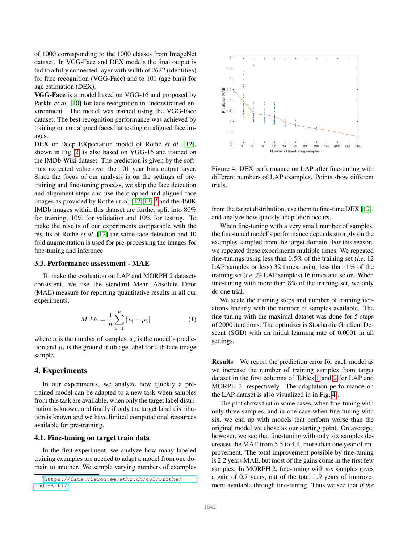of 1000 corresponding to the 1000 classes from ImageNet dataset. In VGG-Face and DEX models the final output is fed to a fully connected layer with width of 2622 (identities) for face recognition (VGG-Face) and to 101 (age bins) for age estimation (DEX).

VGG-Face is a model based on VGG-16 and proposed by Parkhi *et al.* [\[10\]](#page-8-2) for face recognition in unconstrained environment. The model was trained using the VGG-Face dataset. The best recognition performance was achieved by training on non aligned faces but testing on aligned face images.

DEX or Deep EXpectation model of Rothe *et al*. [\[12\]](#page-8-6), shown in Fig. [2,](#page-2-1) is also based on VGG-16 and trained on the IMDb-Wiki dataset. The prediction is given by the softmax expected value over the 101 year bins output layer. Since the focus of our analysis is on the settings of pretraining and fine-tuning process, we skip the face detection and alignment steps and use the cropped and aligned face images as provided by Rothe *et al.* [\[12,](#page-8-6) [13\]](#page-8-13)<sup>[3](#page-3-1)</sup> and the 460K IMDb images within this dataset are further split into 80% for training, 10% for validation and 10% for testing. To make the results of our experiments comparable with the results of Rothe *et al*. [\[12\]](#page-8-6) the same face detection and 10 fold augmentation is used for pre-processing the images for fine-tuning and inference.

# 3.3. Performance assessment - MAE

To make the evaluation on LAP and MORPH 2 datasets consistent, we use the standard Mean Absolute Error (MAE) measure for reporting quantitative results in all our experiments.

$$
MAE = \frac{1}{n} \sum_{i=1}^{n} |x_i - \mu_i|
$$
 (1)

where *n* is the number of samples,  $x_i$  is the model's prediction and  $\mu_i$  is the ground truth age label for *i*-th face image sample.

# <span id="page-3-0"></span>4. Experiments

In our experiments, we analyze how quickly a pretrained model can be adapted to a new task when samples from this task are available, when only the target label distribution is known, and finally if only the target label distribution is known and we have limited computational resources available for pre-training.

# 4.1. Fine-tuning on target train data

In the first experiment, we analyze how many labeled training examples are needed to adapt a model from one domain to another. We sample varying numbers of examples

<span id="page-3-2"></span>

Figure 4: DEX performance on LAP after fine-tuning with different numbers of LAP examples. Points show different trials.

from the target distribution, use them to fine-tune DEX [\[12\]](#page-8-6), and analyze how quickly adaptation occurs.

When fine-tuning with a very small number of samples, the fine-tuned model's performance depends strongly on the examples sampled from the target domain. For this reason, we repeated these experiments multiple times. We repeated fine-tunings using less than 0.5% of the training set (*i.e*. 12 LAP samples or less) 32 times, using less than 1% of the training set (*i.e*. 24 LAP samples) 16 times and so on. When fine-tuning with more than 8% of the training set, we only do one trial.

We scale the training steps and number of training iterations linearly with the number of samples available. The fine-tuning with the maximal dataset was done for 5 steps of 2000 iterations. The optimizer is Stochastic Gradient Descent (SGD) with an initial learning rate of 0.0001 in all settings.

Results We report the prediction error for each model as we increase the number of training samples from target dataset in the first columns of Tables [1](#page-5-0) and [2](#page-5-1) for LAP and MORPH 2, respectively. The adaptation performance on the LAP dataset is also visualized in in Fig. [4\)](#page-3-2).

The plot shows that in some cases, when fine-tuning with only three samples, and in one case when fine-tuning with six, we end up with models that perform worse than the original model we chose as our starting point. On average, however, we see that fine-tuning with only six samples decreases the MAE from 5.5 to 4.4, more than one year of improvement. The total improvement possible by fine-tuning is 2.2 years MAE, but most of the gains come in the first few samples. In MORPH 2, fine-tuning with six samples gives a gain of 0.7 years, out of the total 1.9 years of improvement available through fine-tuning. Thus we see that *if the*

<span id="page-3-1"></span><sup>3</sup>[https://data.vision.ee.ethz.ch/cvl/rrothe/](https://data.vision.ee.ethz.ch/cvl/rrothe/imdb-wiki/) [imdb-wiki/](https://data.vision.ee.ethz.ch/cvl/rrothe/imdb-wiki/)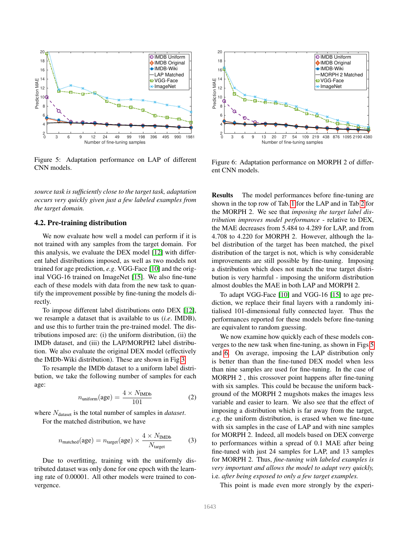<span id="page-4-0"></span>

Figure 5: Adaptation performance on LAP of different CNN models.

*source task is sufficiently close to the target task, adaptation occurs very quickly given just a few labeled examples from the target domain.*

# <span id="page-4-2"></span>4.2. Pre-training distribution

We now evaluate how well a model can perform if it is not trained with any samples from the target domain. For this analysis, we evaluate the DEX model [\[12\]](#page-8-6) with different label distributions imposed, as well as two models not trained for age prediction, *e.g*. VGG-Face [\[10\]](#page-8-2) and the original VGG-16 trained on ImageNet [\[15\]](#page-8-1). We also fine-tune each of these models with data from the new task to quantify the improvement possible by fine-tuning the models directly.

To impose different label distributions onto DEX [\[12\]](#page-8-6), we resample a dataset that is available to us (*i.e*. IMDB), and use this to further train the pre-trained model. The distributions imposed are: (i) the uniform distribution, (ii) the IMDb dataset, and (iii) the LAP/MORPH2 label distribution. We also evaluate the original DEX model (effectively the IMDb-Wiki distribution). These are shown in Fig [3.](#page-2-2)

To resample the IMDb dataset to a uniform label distribution, we take the following number of samples for each age:

$$
n_{\text{uniform}}(\text{age}) = \frac{4 \times N_{\text{IMDb}}}{101} \tag{2}
$$

where  $N_{\text{dataset}}$  is the total number of samples in *dataset*.

For the matched distribution, we have

$$
n_{\text{matched}}(\text{age}) = n_{\text{target}}(\text{age}) \times \frac{4 \times N_{\text{IMDb}}}{N_{\text{target}}} \tag{3}
$$

Due to overfitting, training with the uniformly distributed dataset was only done for one epoch with the learning rate of 0.00001. All other models were trained to convergence.

<span id="page-4-1"></span>

Figure 6: Adaptation performance on MORPH 2 of different CNN models.

Results The model performances before fine-tuning are shown in the top row of Tab. [1](#page-5-0) for the LAP and in Tab [2](#page-5-1) for the MORPH 2. We see that *imposing the target label distribution improves model performance* - relative to DEX, the MAE decreases from 5.484 to 4.289 for LAP, and from 4.708 to 4.220 for MORPH 2. However, although the label distribution of the target has been matched, the pixel distribution of the target is not, which is why considerable improvements are still possible by fine-tuning. Imposing a distribution which does not match the true target distribution is very harmful - imposing the uniform distribution almost doubles the MAE in both LAP and MORPH 2.

To adapt VGG-Face [\[10\]](#page-8-2) and VGG-16 [\[15\]](#page-8-1) to age prediction, we replace their final layers with a randomly initialised 101-dimensional fully connected layer. Thus the performances reported for these models before fine-tuning are equivalent to random guessing.

We now examine how quickly each of these models converges to the new task when fine-tuning, as shown in Figs [5](#page-4-0) and [6.](#page-4-1) On average, imposing the LAP distribution only is better than than the fine-tuned DEX model when less than nine samples are used for fine-tuning. In the case of MORPH 2 , this crossover point happens after fine-tuning with six samples. This could be because the uniform background of the MORPH 2 mugshots makes the images less variable and easier to learn. We also see that the effect of imposing a distribution which is far away from the target, *e.g*. the uniform distribution, is erased when we fine-tune with six samples in the case of LAP and with nine samples for MORPH 2. Indeed, all models based on DEX converge to performances within a spread of 0.1 MAE after being fine-tuned with just 24 samples for LAP, and 13 samples for MORPH 2. Thus, *fine-tuning with labeled examples is very important and allows the model to adapt very quickly,* i.e*. after being exposed to only a few target examples.*

This point is made even more strongly by the experi-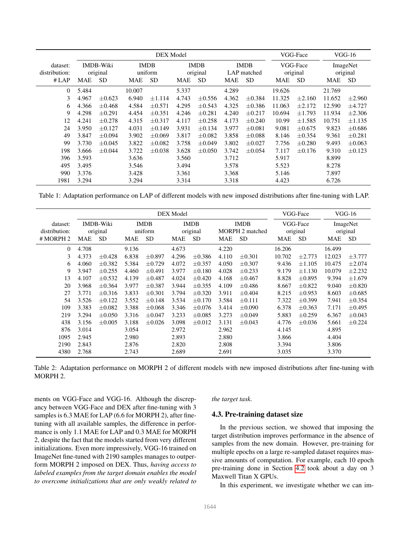<span id="page-5-0"></span>

|                                    | DEX Model                                        |             |                                                   |             |                                                    |             |                                                       |             |                                          | VGG-Face    |            | $VGG-16$                          |  |
|------------------------------------|--------------------------------------------------|-------------|---------------------------------------------------|-------------|----------------------------------------------------|-------------|-------------------------------------------------------|-------------|------------------------------------------|-------------|------------|-----------------------------------|--|
| dataset:<br>distribution:<br># LAP | <b>IMDB-Wiki</b><br>original<br><b>SD</b><br>MAE |             | <b>IMDB</b><br>uniform<br><b>SD</b><br><b>MAE</b> |             | <b>IMDB</b><br>original<br><b>MAE</b><br><b>SD</b> |             | <b>IMDB</b><br>LAP matched<br><b>SD</b><br><b>MAE</b> |             | VGG-Face<br>original<br><b>SD</b><br>MAE |             | <b>MAE</b> | ImageNet<br>original<br><b>SD</b> |  |
| $\theta$                           | 5.484                                            |             | 10.007                                            |             | 5.337                                              |             | 4.289                                                 |             | 19.626                                   |             | 21.769     |                                   |  |
| 3                                  | 4.967                                            | $\pm 0.623$ | 6.940                                             | ±1.114      | 4.743                                              | $\pm 0.556$ | 4.362                                                 | $\pm 0.384$ | 11.325                                   | $\pm 2.160$ | 11.652     | $\pm 2.960$                       |  |
| 6                                  | 4.366                                            | $\pm 0.468$ | 4.584                                             | $\pm 0.571$ | 4.295                                              | $\pm 0.543$ | 4.325                                                 | $\pm 0.386$ | 11.063                                   | $\pm 2.172$ | 12.590     | ±4.727                            |  |
| 9                                  | 4.298                                            | $\pm 0.291$ | 4.454                                             | $\pm 0.351$ | 4.246                                              | $\pm 0.281$ | 4.240                                                 | $\pm 0.217$ | 10.694                                   | $\pm 1.793$ | 11.934     | $\pm 2.306$                       |  |
| 12                                 | 4.241                                            | $\pm 0.278$ | 4.315                                             | $\pm 0.317$ | 4.117                                              | $\pm 0.258$ | 4.173                                                 | $\pm 0.240$ | 10.99                                    | $\pm 1.585$ | 10.751     | $\pm 1.135$                       |  |
| 24                                 | 3.950                                            | $\pm 0.127$ | 4.031                                             | $\pm 0.149$ | 3.931                                              | $\pm 0.134$ | 3.977                                                 | $\pm 0.081$ | 9.081                                    | $\pm 0.675$ | 9.823      | $\pm 0.686$                       |  |
| 49                                 | 3.847                                            | $\pm 0.094$ | 3.902                                             | $\pm 0.069$ | 3.817                                              | $\pm 0.082$ | 3.858                                                 | $\pm 0.088$ | 8.146                                    | $\pm 0.354$ | 9.361      | $\pm 0.281$                       |  |
| 99                                 | 3.730                                            | $\pm 0.045$ | 3.822                                             | $\pm 0.082$ | 3.758                                              | $\pm 0.049$ | 3.802                                                 | $\pm 0.027$ | 7.756                                    | $\pm 0.280$ | 9.493      | $\pm 0.063$                       |  |
| 198                                | 3.666                                            | $+0.044$    | 3.722                                             | $\pm 0.038$ | 3.628                                              | $\pm 0.050$ | 3.742                                                 | $\pm 0.054$ | 7.117                                    | $\pm 0.176$ | 9.310      | $\pm 0.123$                       |  |
| 396                                | 3.593                                            |             | 3.636                                             |             | 3.560                                              |             | 3.712                                                 |             | 5.917                                    |             | 8.899      |                                   |  |
| 495                                | 3.495                                            |             | 3.546                                             |             | 3.494                                              |             | 3.578                                                 |             | 5.523                                    |             | 8.278      |                                   |  |
| 990                                | 3.376                                            |             | 3.428                                             |             | 3.361                                              |             | 3.368                                                 |             | 5.146                                    |             | 7.897      |                                   |  |
| 1981                               | 3.294                                            |             | 3.294                                             |             | 3.314                                              |             | 3.318                                                 |             | 4.423                                    |             | 6.726      |                                   |  |

Table 1: Adaptation performance on LAP of different models with new imposed distributions after fine-tuning with LAP.

<span id="page-5-1"></span>

|                           | DEX Model                    |             |                        |             |                         |             |                                |             |                      | VGG-Face    |                      | $VGG-16$    |  |
|---------------------------|------------------------------|-------------|------------------------|-------------|-------------------------|-------------|--------------------------------|-------------|----------------------|-------------|----------------------|-------------|--|
| dataset:<br>distribution: | <b>IMDB-Wiki</b><br>original |             | <b>IMDB</b><br>uniform |             | <b>IMDB</b><br>original |             | <b>IMDB</b><br>MORPH 2 matched |             | VGG-Face<br>original |             | ImageNet<br>original |             |  |
| # MORPH 2                 | <b>MAE</b>                   | <b>SD</b>   | <b>MAE</b>             | <b>SD</b>   | MAE                     | <b>SD</b>   | <b>MAE</b>                     | <b>SD</b>   | MAE                  | <b>SD</b>   | MAE                  | <b>SD</b>   |  |
| $\Omega$                  | 4.708                        |             | 9.136                  |             | 4.673                   |             | 4.220                          |             | 16.206               |             | 16.499               |             |  |
| 3                         | 4.373                        | $\pm 0.428$ | 6.838                  | $\pm 0.897$ | 4.296                   | $\pm 0.386$ | 4.110                          | $\pm 0.301$ | 10.702               | $\pm 2.773$ | 12.023               | $\pm$ 3.777 |  |
| 6                         | 4.060                        | $\pm 0.382$ | 5.384                  | $\pm 0.729$ | 4.072                   | $\pm 0.357$ | 4.050                          | $\pm 0.307$ | 9.436                | $\pm 1.105$ | 10.475               | $\pm 2.074$ |  |
| 9                         | 3.947                        | $\pm 0.255$ | 4.460                  | $\pm 0.491$ | 3.977                   | $\pm 0.180$ | 4.028                          | $\pm 0.233$ | 9.179                | $\pm 1.130$ | 10.079               | $\pm 2.232$ |  |
| 13                        | 4.107                        | $\pm 0.532$ | 4.139                  | $\pm 0.487$ | 4.024                   | $\pm 0.420$ | 4.168                          | $\pm 0.467$ | 8.828                | $\pm 0.895$ | 9.394                | ±1.679      |  |
| 20                        | 3.968                        | $\pm 0.364$ | 3.977                  | $\pm 0.387$ | 3.944                   | $\pm 0.355$ | 4.109                          | $\pm 0.486$ | 8.667                | $\pm 0.822$ | 9.040                | $\pm 0.820$ |  |
| 27                        | 3.771                        | $\pm 0.316$ | 3.833                  | $\pm 0.301$ | 3.794                   | $\pm 0.320$ | 3.911                          | $\pm 0.404$ | 8.215                | $\pm 0.953$ | 8.603                | $\pm 0.685$ |  |
| 54                        | 3.526                        | $\pm 0.122$ | 3.552                  | $\pm 0.148$ | 3.534                   | $\pm 0.170$ | 3.584                          | $\pm 0.111$ | 7.322                | $\pm 0.399$ | 7.941                | $\pm 0.354$ |  |
| 109                       | 3.383                        | $\pm 0.082$ | 3.388                  | $\pm 0.068$ | 3.346                   | $\pm 0.076$ | 3.414                          | $\pm 0.090$ | 6.378                | $\pm 0.363$ | 7.171                | $\pm 0.495$ |  |
| 219                       | 3.294                        | $\pm 0.050$ | 3.316                  | $\pm 0.047$ | 3.233                   | $\pm 0.085$ | 3.273                          | $\pm 0.049$ | 5.883                | $\pm 0.259$ | 6.367                | $\pm 0.043$ |  |
| 438                       | 3.156                        | $\pm 0.005$ | 3.188                  | $\pm 0.026$ | 3.098                   | $\pm 0.012$ | 3.131                          | $\pm 0.043$ | 4.776                | $\pm 0.036$ | 5.661                | $\pm 0.224$ |  |
| 876                       | 3.014                        |             | 3.054                  |             | 2.972                   |             | 2.962                          |             | 4.145                |             | 4.895                |             |  |
| 1095                      | 2.945                        |             | 2.980                  |             | 2.893                   |             | 2.880                          |             | 3.866                |             | 4.404                |             |  |
| 2190                      | 2.843                        |             | 2.876                  |             | 2.820                   |             | 2.808                          |             | 3.394                |             | 3.806                |             |  |
| 4380                      | 2.768                        |             | 2.743                  |             | 2.689                   |             | 2.691                          |             | 3.035                |             | 3.370                |             |  |

Table 2: Adaptation performance on MORPH 2 of different models with new imposed distributions after fine-tuning with MORPH 2.

ments on VGG-Face and VGG-16. Although the discrepancy between VGG-Face and DEX after fine-tuning with 3 samples is 6.3 MAE for LAP (6.6 for MORPH 2), after finetuning with all available samples, the difference in performance is only 1.1 MAE for LAP and 0.3 MAE for MORPH 2, despite the fact that the models started from very different initializations. Even more impressively, VGG-16 trained on ImageNet fine-tuned with 2190 samples manages to outperform MORPH 2 imposed on DEX. Thus, *having access to labeled examples from the target domain enables the model to overcome initializations that are only weakly related to*

*the target task.*

#### 4.3. Pre-training dataset size

In the previous section, we showed that imposing the target distribution improves performance in the absence of samples from the new domain. However, pre-training for multiple epochs on a large re-sampled dataset requires massive amounts of computation. For example, each 10 epoch pre-training done in Section [4.2](#page-4-2) took about a day on 3 Maxwell Titan X GPUs.

In this experiment, we investigate whether we can im-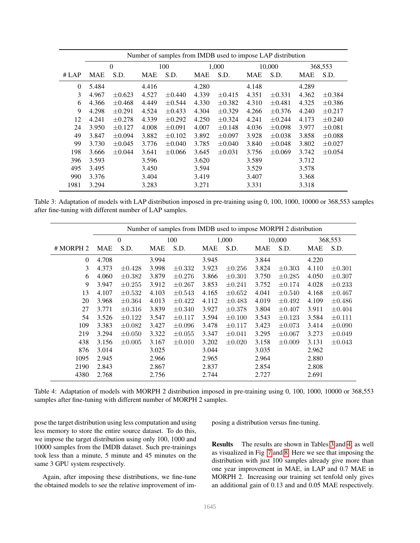<span id="page-6-0"></span>

|          | Number of samples from IMDB used to impose LAP distribution |             |            |             |            |             |            |             |            |             |  |
|----------|-------------------------------------------------------------|-------------|------------|-------------|------------|-------------|------------|-------------|------------|-------------|--|
|          | $\theta$                                                    |             | 100        |             | 1.000      |             | 10,000     |             | 368,553    |             |  |
| # LAP    | <b>MAE</b>                                                  | S.D.        | <b>MAE</b> | S.D.        | <b>MAE</b> | S.D.        | <b>MAE</b> | S.D.        | <b>MAE</b> | S.D.        |  |
| $\theta$ | 5.484                                                       |             | 4.416      |             | 4.280      |             | 4.148      |             | 4.289      |             |  |
| 3        | 4.967                                                       | $\pm 0.623$ | 4.527      | $\pm 0.440$ | 4.339      | $\pm 0.415$ | 4.351      | $\pm 0.331$ | 4.362      | $\pm 0.384$ |  |
| 6        | 4.366                                                       | $\pm 0.468$ | 4.449      | $\pm 0.544$ | 4.330      | $\pm 0.382$ | 4.310      | $\pm 0.481$ | 4.325      | $\pm 0.386$ |  |
| 9        | 4.298                                                       | $\pm 0.291$ | 4.524      | $\pm 0.433$ | 4.304      | $\pm 0.329$ | 4.266      | $\pm 0.376$ | 4.240      | $\pm 0.217$ |  |
| 12       | 4.241                                                       | $\pm 0.278$ | 4.339      | $\pm 0.292$ | 4.250      | $\pm 0.324$ | 4.241      | $\pm 0.244$ | 4.173      | $\pm 0.240$ |  |
| 24       | 3.950                                                       | $\pm 0.127$ | 4.008      | $\pm 0.091$ | 4.007      | $\pm 0.148$ | 4.036      | $\pm 0.098$ | 3.977      | $\pm 0.081$ |  |
| 49       | 3.847                                                       | $\pm 0.094$ | 3.882      | $\pm 0.102$ | 3.892      | $\pm 0.097$ | 3.928      | $\pm 0.038$ | 3.858      | $\pm 0.088$ |  |
| 99       | 3.730                                                       | $\pm 0.045$ | 3.776      | $\pm 0.040$ | 3.785      | $\pm 0.040$ | 3.840      | $\pm 0.048$ | 3.802      | $\pm 0.027$ |  |
| 198      | 3.666                                                       | $\pm 0.044$ | 3.641      | $\pm 0.066$ | 3.645      | $\pm 0.031$ | 3.756      | $\pm 0.069$ | 3.742      | $\pm 0.054$ |  |
| 396      | 3.593                                                       |             | 3.596      |             | 3.620      |             | 3.589      |             | 3.712      |             |  |
| 495      | 3.495                                                       |             | 3.450      |             | 3.594      |             | 3.529      |             | 3.578      |             |  |
| 990      | 3.376                                                       |             | 3.404      |             | 3.419      |             | 3.407      |             | 3.368      |             |  |
| 1981     | 3.294                                                       |             | 3.283      |             | 3.271      |             | 3.331      |             | 3.318      |             |  |

Table 3: Adaptation of models with LAP distribution imposed in pre-training using 0, 100, 1000, 10000 or 368,553 samples after fine-tuning with different number of LAP samples.

<span id="page-6-1"></span>

|           | Number of samples from IMDB used to impose MORPH 2 distribution |             |            |             |       |             |            |             |            |             |  |
|-----------|-----------------------------------------------------------------|-------------|------------|-------------|-------|-------------|------------|-------------|------------|-------------|--|
|           | $\theta$                                                        |             | 100        |             | 1,000 |             | 10,000     |             | 368,553    |             |  |
| # MORPH 2 | <b>MAE</b>                                                      | S.D.        | <b>MAE</b> | S.D.        | MAE   | S.D.        | <b>MAE</b> | S.D.        | <b>MAE</b> | S.D.        |  |
| $\Omega$  | 4.708                                                           |             | 3.994      |             | 3.945 |             | 3.844      |             | 4.220      |             |  |
| 3         | 4.373                                                           | $\pm 0.428$ | 3.998      | $\pm 0.332$ | 3.923 | $\pm 0.256$ | 3.824      | $\pm 0.303$ | 4.110      | $\pm 0.301$ |  |
| 6         | 4.060                                                           | $\pm 0.382$ | 3.879      | $\pm 0.276$ | 3.866 | $\pm 0.301$ | 3.750      | $\pm 0.285$ | 4.050      | $\pm 0.307$ |  |
| 9         | 3.947                                                           | $\pm 0.255$ | 3.912      | $\pm 0.267$ | 3.853 | $\pm 0.241$ | 3.752      | $\pm 0.174$ | 4.028      | $\pm 0.233$ |  |
| 13        | 4.107                                                           | $\pm 0.532$ | 4.103      | $\pm 0.543$ | 4.165 | $\pm 0.652$ | 4.041      | $\pm 0.540$ | 4.168      | $\pm 0.467$ |  |
| 20        | 3.968                                                           | $\pm 0.364$ | 4.013      | $\pm 0.422$ | 4.112 | $\pm 0.483$ | 4.019      | $\pm 0.492$ | 4.109      | $\pm 0.486$ |  |
| 27        | 3.771                                                           | $\pm 0.316$ | 3.839      | $\pm 0.340$ | 3.927 | $\pm 0.378$ | 3.804      | $\pm 0.407$ | 3.911      | $\pm 0.404$ |  |
| 54        | 3.526                                                           | $\pm 0.122$ | 3.547      | $\pm 0.117$ | 3.594 | $\pm 0.100$ | 3.543      | $\pm 0.123$ | 3.584      | $\pm 0.111$ |  |
| 109       | 3.383                                                           | $\pm 0.082$ | 3.427      | $\pm 0.096$ | 3.478 | $\pm 0.117$ | 3.423      | $\pm 0.073$ | 3.414      | $\pm 0.090$ |  |
| 219       | 3.294                                                           | $\pm 0.050$ | 3.322      | $\pm 0.055$ | 3.347 | $\pm 0.041$ | 3.295      | $\pm 0.067$ | 3.273      | $\pm 0.049$ |  |
| 438       | 3.156                                                           | $\pm 0.005$ | 3.167      | $\pm 0.010$ | 3.202 | $\pm 0.020$ | 3.158      | $\pm 0.009$ | 3.131      | $\pm 0.043$ |  |
| 876       | 3.014                                                           |             | 3.025      |             | 3.044 |             | 3.035      |             | 2.962      |             |  |
| 1095      | 2.945                                                           |             | 2.966      |             | 2.965 |             | 2.964      |             | 2.880      |             |  |
| 2190      | 2.843                                                           |             | 2.867      |             | 2.837 |             | 2.854      |             | 2.808      |             |  |
| 4380      | 2.768                                                           |             | 2.756      |             | 2.744 |             | 2.727      |             | 2.691      |             |  |

Table 4: Adaptation of models with MORPH 2 distribution imposed in pre-training using 0, 100, 1000, 10000 or 368,553 samples after fine-tuning with different number of MORPH 2 samples.

pose the target distribution using less computation and using less memory to store the entire source dataset. To do this, we impose the target distribution using only 100, 1000 and 10000 samples from the IMDB dataset. Such pre-trainings took less than a minute, 5 minute and 45 minutes on the same 3 GPU system respectively.

Again, after imposing these distributions, we fine-tune the obtained models to see the relative improvement of imposing a distribution versus fine-tuning.

Results The results are shown in Tables [3](#page-6-0) and [4,](#page-6-1) as well as visualized in Fig [7](#page-7-1) and [8.](#page-7-2) Here we see that imposing the distribution with just 100 samples already give more than one year improvement in MAE, in LAP and 0.7 MAE in MORPH 2. Increasing our training set tenfold only gives an additional gain of 0.13 and and 0.05 MAE respectively.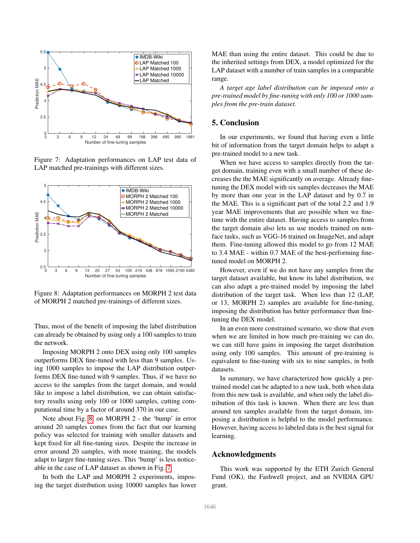<span id="page-7-1"></span>

Figure 7: Adaptation performances on LAP test data of LAP matched pre-trainings with different sizes.

<span id="page-7-2"></span>

Figure 8: Adaptation performances on MORPH 2 test data of MORPH 2 matched pre-trainings of different sizes.

Thus, most of the benefit of imposing the label distribution can already be obtained by using only a 100 samples to train the network.

Imposing MORPH 2 onto DEX using only 100 samples outperforms DEX fine-tuned with less than 9 samples. Using 1000 samples to impose the LAP distribution outperforms DEX fine-tuned with 9 samples. Thus, if we have no access to the samples from the target domain, and would like to impose a label distribution, we can obtain satisfactory results using only 100 or 1000 samples, cutting computational time by a factor of around 370 in our case.

Note about Fig. [8,](#page-7-2) on MORPH 2 - the 'bump' in error around 20 samples comes from the fact that our learning policy was selected for training with smaller datasets and kept fixed for all fine-tuning sizes. Despite the increase in error around 20 samples, with more training, the models adapt to larger fine-tuning sizes. This 'bump' is less noticeable in the case of LAP dataset as shown in Fig. [7.](#page-7-1)

In both the LAP and MORPH 2 experiments, imposing the target distribution using 10000 samples has lower MAE than using the entire dataset. This could be due to the inherited settings from DEX, a model optimized for the LAP dataset with a number of train samples in a comparable range.

*A target age label distribution can be imposed onto a pre-trained model by fine-tuning with only 100 or 1000 samples from the pre-train dataset.*

## <span id="page-7-0"></span>5. Conclusion

In our experiments, we found that having even a little bit of information from the target domain helps to adapt a pre-trained model to a new task.

When we have access to samples directly from the target domain, training even with a small number of these decreases the the MAE significantly on average. Already finetuning the DEX model with six samples decreases the MAE by more than one year in the LAP dataset and by 0.7 in the MAE. This is a significant part of the total 2.2 and 1.9 year MAE improvements that are possible when we finetune with the entire dataset. Having access to samples from the target domain also lets us use models trained on nonface tasks, such as VGG-16 trained on ImageNet, and adapt them. Fine-tuning allowed this model to go from 12 MAE to 3.4 MAE - within 0.7 MAE of the best-performing finetuned model on MORPH 2.

However, even if we do not have any samples from the target dataset available, but know its label distribution, we can also adapt a pre-trained model by imposing the label distribution of the target task. When less than 12 (LAP, or 13, MORPH 2) samples are available for fine-tuning, imposing the distribution has better performance than finetuning the DEX model.

In an even more constrained scenario, we show that even when we are limited in how much pre-training we can do, we can still have gains in imposing the target distribution using only 100 samples. This amount of pre-training is equivalent to fine-tuning with six to nine samples, in both datasets.

In summary, we have characterized how quickly a pretrained model can be adapted to a new task, both when data from this new task is available, and when only the label distribution of this task is known. When there are less than around ten samples available from the target domain, imposing a distribution is helpful to the model performance. However, having access to labeled data is the best signal for learning.

# Acknowledgments

This work was supported by the ETH Zurich General Fund (OK), the Fashwell project, and an NVIDIA GPU grant.